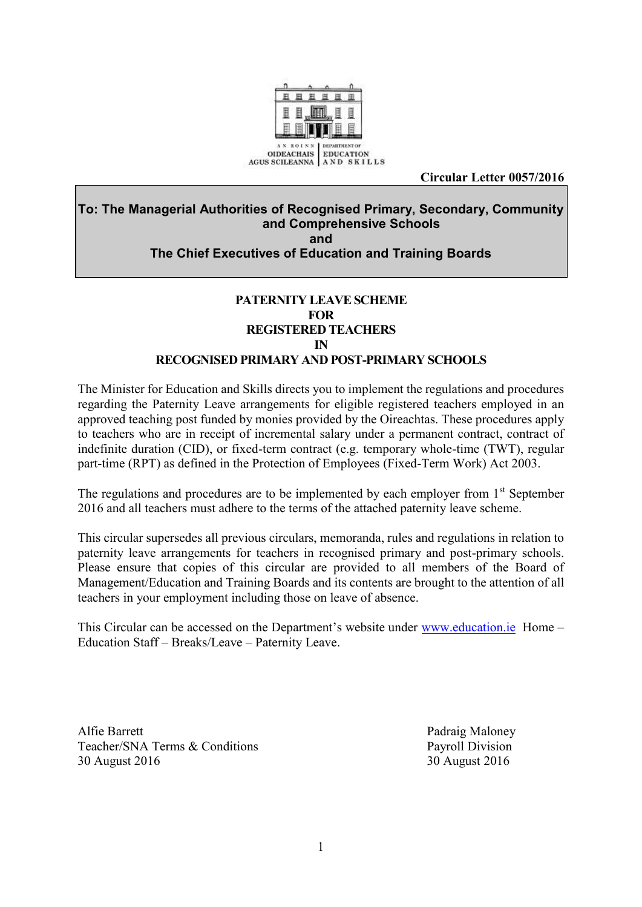

**Circular Letter 0057/2016** 

### **To: The Managerial Authorities of Recognised Primary, Secondary, Community and Comprehensive Schools and The Chief Executives of Education and Training Boards**

### **PATERNITY LEAVE SCHEME FOR REGISTERED TEACHERS IN RECOGNISED PRIMARY AND POST-PRIMARY SCHOOLS**

The Minister for Education and Skills directs you to implement the regulations and procedures regarding the Paternity Leave arrangements for eligible registered teachers employed in an approved teaching post funded by monies provided by the Oireachtas. These procedures apply to teachers who are in receipt of incremental salary under a permanent contract, contract of indefinite duration (CID), or fixed-term contract (e.g. temporary whole-time (TWT), regular part-time (RPT) as defined in the Protection of Employees (Fixed-Term Work) Act 2003.

The regulations and procedures are to be implemented by each employer from 1<sup>st</sup> September 2016 and all teachers must adhere to the terms of the attached paternity leave scheme.

This circular supersedes all previous circulars, memoranda, rules and regulations in relation to paternity leave arrangements for teachers in recognised primary and post-primary schools. Please ensure that copies of this circular are provided to all members of the Board of Management/Education and Training Boards and its contents are brought to the attention of all teachers in your employment including those on leave of absence.

This Circular can be accessed on the Department's website under [www.education.ie](http://www.education.ie/) Home – Education Staff – Breaks/Leave – Paternity Leave.

Alfie Barrett **Padraig Maloney** Padraig Maloney Teacher/SNA Terms & Conditions Payroll Division 30 August 2016 30 August 2016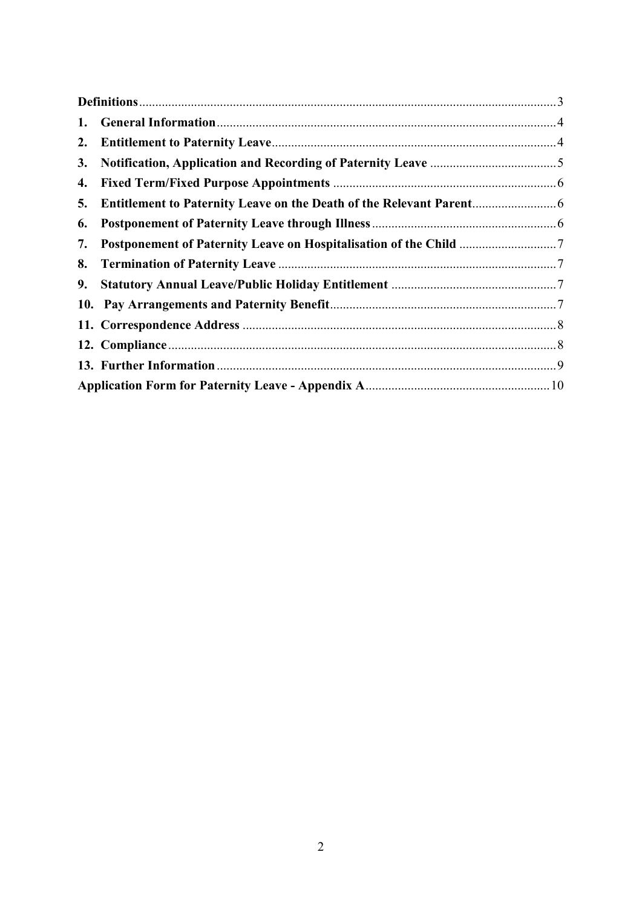| 2. |  |
|----|--|
| 3. |  |
| 4. |  |
| 5. |  |
| 6. |  |
| 7. |  |
| 8. |  |
|    |  |
|    |  |
|    |  |
|    |  |
|    |  |
|    |  |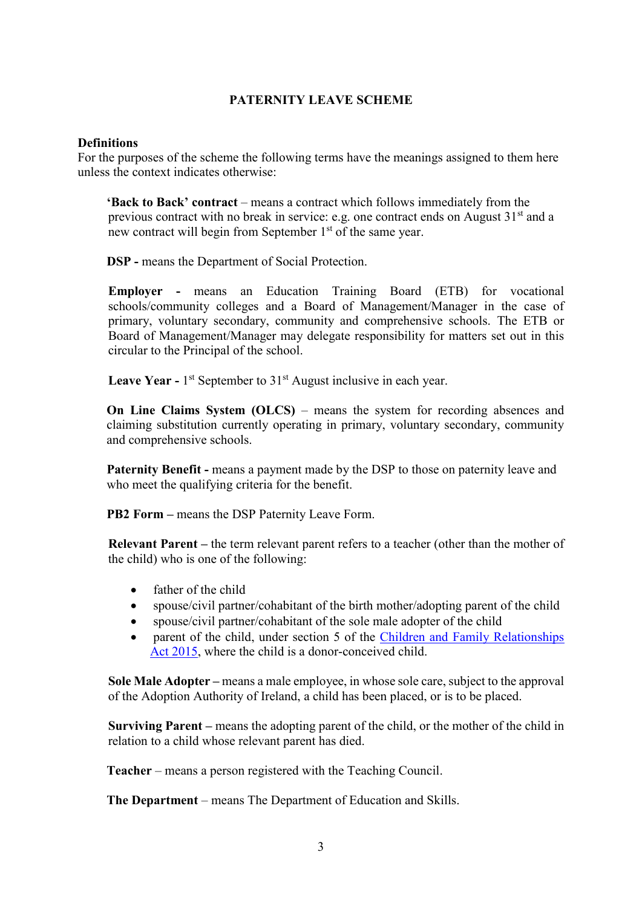#### **PATERNITY LEAVE SCHEME**

#### <span id="page-2-0"></span>**Definitions**

For the purposes of the scheme the following terms have the meanings assigned to them here unless the context indicates otherwise:

 **'Back to Back' contract** – means a contract which follows immediately from the previous contract with no break in service: e.g. one contract ends on August  $31<sup>st</sup>$  and a new contract will begin from September 1<sup>st</sup> of the same year.

**DSP -** means the Department of Social Protection.

**Employer -** means an Education Training Board (ETB) for vocational schools/community colleges and a Board of Management/Manager in the case of primary, voluntary secondary, community and comprehensive schools. The ETB or Board of Management/Manager may delegate responsibility for matters set out in this circular to the Principal of the school.

**Leave Year -** 1<sup>st</sup> September to 31<sup>st</sup> August inclusive in each year.

**On Line Claims System (OLCS)** – means the system for recording absences and claiming substitution currently operating in primary, voluntary secondary, community and comprehensive schools.

**Paternity Benefit -** means a payment made by the DSP to those on paternity leave and who meet the qualifying criteria for the benefit.

**PB2 Form –** means the DSP Paternity Leave Form.

**Relevant Parent –** the term relevant parent refers to a teacher (other than the mother of the child) who is one of the following:

- father of the child
- spouse/civil partner/cohabitant of the birth mother/adopting parent of the child
- spouse/civil partner/cohabitant of the sole male adopter of the child
- parent of the child, under section 5 of the [Children and Family Relationships](http://www.irishstatutebook.ie/eli/2015/act/9/enacted/en/print)  [Act 2015,](http://www.irishstatutebook.ie/eli/2015/act/9/enacted/en/print) where the child is a donor-conceived child.

**Sole Male Adopter** – means a male employee, in whose sole care, subject to the approval of the Adoption Authority of Ireland, a child has been placed, or is to be placed.

**Surviving Parent –** means the adopting parent of the child, or the mother of the child in relation to a child whose relevant parent has died.

**Teacher** – means a person registered with the Teaching Council.

**The Department** – means The Department of Education and Skills.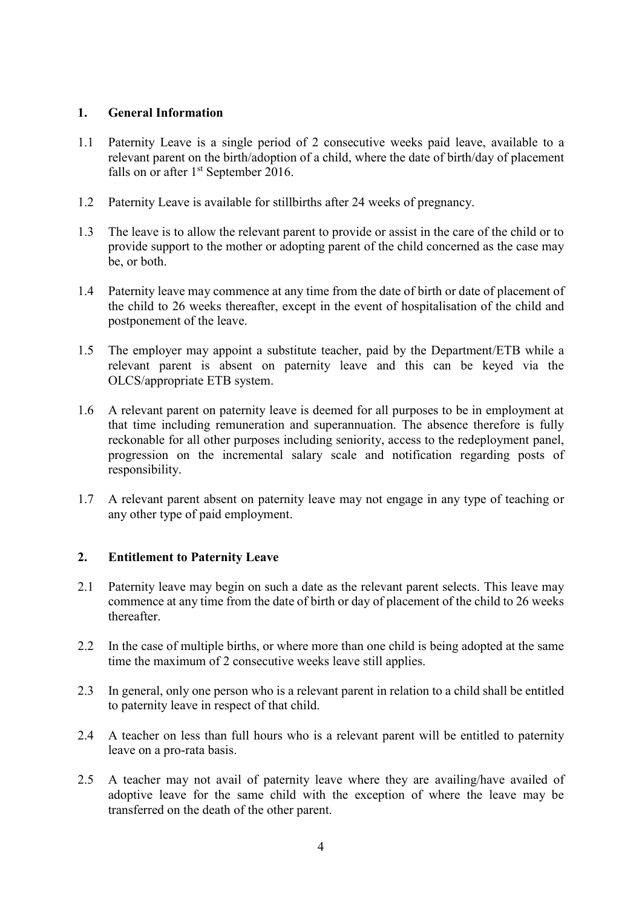#### <span id="page-3-0"></span>**1. General Information**

- 1.1 Paternity Leave is a single period of 2 consecutive weeks paid leave, available to a relevant parent on the birth/adoption of a child, where the date of birth/day of placement falls on or after 1<sup>st</sup> September 2016.
- 1.2 Paternity Leave is available for stillbirths after 24 weeks of pregnancy.
- 1.3 The leave is to allow the relevant parent to provide or assist in the care of the child or to provide support to the mother or adopting parent of the child concerned as the case may be, or both.
- 1.4 Paternity leave may commence at any time from the date of birth or date of placement of the child to 26 weeks thereafter, except in the event of hospitalisation of the child and postponement of the leave.
- 1.5 The employer may appoint a substitute teacher, paid by the Department/ETB while a relevant parent is absent on paternity leave and this can be keyed via the OLCS/appropriate ETB system.
- 1.6 A relevant parent on paternity leave is deemed for all purposes to be in employment at that time including remuneration and superannuation. The absence therefore is fully reckonable for all other purposes including seniority, access to the redeployment panel, progression on the incremental salary scale and notification regarding posts of responsibility.
- 1.7 A relevant parent absent on paternity leave may not engage in any type of teaching or any other type of paid employment.

### <span id="page-3-1"></span>**2. Entitlement to Paternity Leave**

- 2.1 Paternity leave may begin on such a date as the relevant parent selects. This leave may commence at any time from the date of birth or day of placement of the child to 26 weeks thereafter.
- 2.2 In the case of multiple births, or where more than one child is being adopted at the same time the maximum of 2 consecutive weeks leave still applies.
- 2.3 In general, only one person who is a relevant parent in relation to a child shall be entitled to paternity leave in respect of that child.
- 2.4 A teacher on less than full hours who is a relevant parent will be entitled to paternity leave on a pro-rata basis.
- 2.5 A teacher may not avail of paternity leave where they are availing/have availed of adoptive leave for the same child with the exception of where the leave may be transferred on the death of the other parent.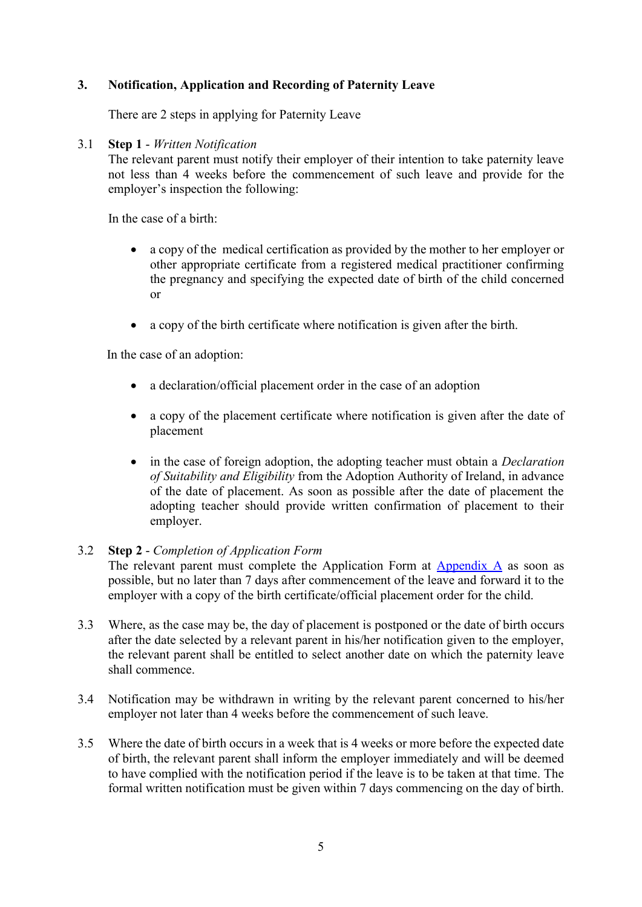# <span id="page-4-0"></span>**3. Notification, Application and Recording of Paternity Leave**

There are 2 steps in applying for Paternity Leave

#### 3.1 **Step 1** - *Written Notification*

The relevant parent must notify their employer of their intention to take paternity leave not less than 4 weeks before the commencement of such leave and provide for the employer's inspection the following:

In the case of a birth:

- a copy of the medical certification as provided by the mother to her employer or other appropriate certificate from a registered medical practitioner confirming the pregnancy and specifying the expected date of birth of the child concerned or
- a copy of the birth certificate where notification is given after the birth.

In the case of an adoption:

- a declaration/official placement order in the case of an adoption
- a copy of the placement certificate where notification is given after the date of placement
- in the case of foreign adoption, the adopting teacher must obtain a *Declaration of Suitability and Eligibility* from the Adoption Authority of Ireland, in advance of the date of placement. As soon as possible after the date of placement the adopting teacher should provide written confirmation of placement to their employer.

#### 3.2 **Step 2** - *Completion of Application Form*

The relevant parent must complete the Application Form at [Appendix A](#page-9-0) as soon as possible, but no later than 7 days after commencement of the leave and forward it to the employer with a copy of the birth certificate/official placement order for the child.

- 3.3 Where, as the case may be, the day of placement is postponed or the date of birth occurs after the date selected by a relevant parent in his/her notification given to the employer, the relevant parent shall be entitled to select another date on which the paternity leave shall commence.
- 3.4 Notification may be withdrawn in writing by the relevant parent concerned to his/her employer not later than 4 weeks before the commencement of such leave.
- 3.5 Where the date of birth occurs in a week that is 4 weeks or more before the expected date of birth, the relevant parent shall inform the employer immediately and will be deemed to have complied with the notification period if the leave is to be taken at that time. The formal written notification must be given within 7 days commencing on the day of birth.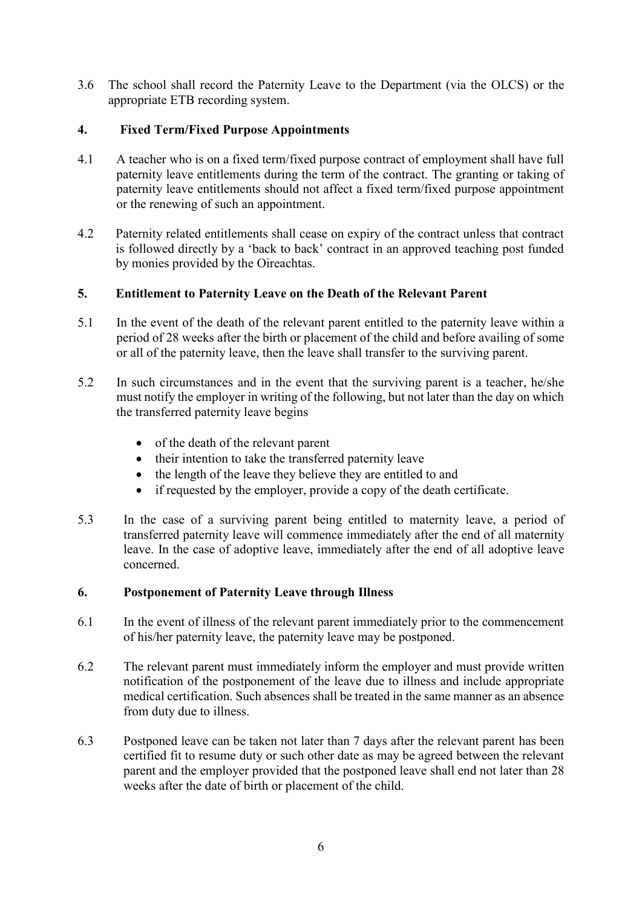3.6 The school shall record the Paternity Leave to the Department (via the OLCS) or the appropriate ETB recording system.

# <span id="page-5-0"></span>**4. Fixed Term/Fixed Purpose Appointments**

- 4.1 A teacher who is on a fixed term/fixed purpose contract of employment shall have full paternity leave entitlements during the term of the contract. The granting or taking of paternity leave entitlements should not affect a fixed term/fixed purpose appointment or the renewing of such an appointment.
- 4.2 Paternity related entitlements shall cease on expiry of the contract unless that contract is followed directly by a 'back to back' contract in an approved teaching post funded by monies provided by the Oireachtas.

### <span id="page-5-1"></span>**5. Entitlement to Paternity Leave on the Death of the Relevant Parent**

- 5.1 In the event of the death of the relevant parent entitled to the paternity leave within a period of 28 weeks after the birth or placement of the child and before availing of some or all of the paternity leave, then the leave shall transfer to the surviving parent.
- 5.2 In such circumstances and in the event that the surviving parent is a teacher, he/she must notify the employer in writing of the following, but not later than the day on which the transferred paternity leave begins
	- of the death of the relevant parent
	- their intention to take the transferred paternity leave
	- the length of the leave they believe they are entitled to and
	- if requested by the employer, provide a copy of the death certificate.
- 5.3 In the case of a surviving parent being entitled to maternity leave, a period of transferred paternity leave will commence immediately after the end of all maternity leave. In the case of adoptive leave, immediately after the end of all adoptive leave concerned.

### <span id="page-5-2"></span>**6. Postponement of Paternity Leave through Illness**

- 6.1 In the event of illness of the relevant parent immediately prior to the commencement of his/her paternity leave, the paternity leave may be postponed.
- 6.2 The relevant parent must immediately inform the employer and must provide written notification of the postponement of the leave due to illness and include appropriate medical certification. Such absences shall be treated in the same manner as an absence from duty due to illness.
- 6.3 Postponed leave can be taken not later than 7 days after the relevant parent has been certified fit to resume duty or such other date as may be agreed between the relevant parent and the employer provided that the postponed leave shall end not later than 28 weeks after the date of birth or placement of the child.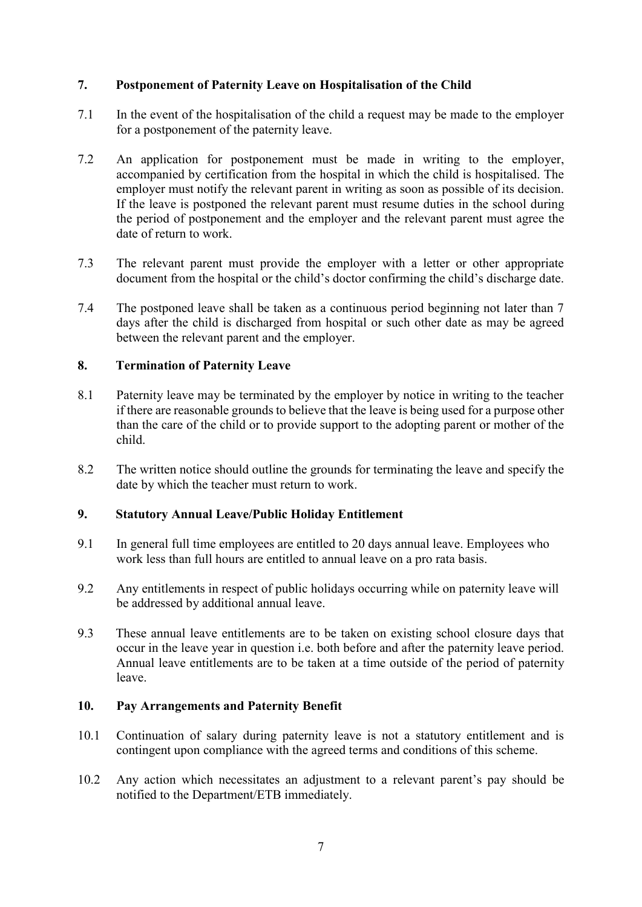### <span id="page-6-0"></span>**7. Postponement of Paternity Leave on Hospitalisation of the Child**

- 7.1 In the event of the hospitalisation of the child a request may be made to the employer for a postponement of the paternity leave.
- 7.2 An application for postponement must be made in writing to the employer, accompanied by certification from the hospital in which the child is hospitalised. The employer must notify the relevant parent in writing as soon as possible of its decision. If the leave is postponed the relevant parent must resume duties in the school during the period of postponement and the employer and the relevant parent must agree the date of return to work.
- 7.3 The relevant parent must provide the employer with a letter or other appropriate document from the hospital or the child's doctor confirming the child's discharge date.
- 7.4 The postponed leave shall be taken as a continuous period beginning not later than 7 days after the child is discharged from hospital or such other date as may be agreed between the relevant parent and the employer.

#### <span id="page-6-1"></span>**8. Termination of Paternity Leave**

- 8.1 Paternity leave may be terminated by the employer by notice in writing to the teacher if there are reasonable grounds to believe that the leave is being used for a purpose other than the care of the child or to provide support to the adopting parent or mother of the child.
- 8.2 The written notice should outline the grounds for terminating the leave and specify the date by which the teacher must return to work.

#### <span id="page-6-2"></span>**9. Statutory Annual Leave/Public Holiday Entitlement**

- 9.1 In general full time employees are entitled to 20 days annual leave. Employees who work less than full hours are entitled to annual leave on a pro rata basis.
- 9.2 Any entitlements in respect of public holidays occurring while on paternity leave will be addressed by additional annual leave.
- 9.3 These annual leave entitlements are to be taken on existing school closure days that occur in the leave year in question i.e. both before and after the paternity leave period. Annual leave entitlements are to be taken at a time outside of the period of paternity leave.

#### <span id="page-6-3"></span>**10. Pay Arrangements and Paternity Benefit**

- 10.1 Continuation of salary during paternity leave is not a statutory entitlement and is contingent upon compliance with the agreed terms and conditions of this scheme.
- 10.2 Any action which necessitates an adjustment to a relevant parent's pay should be notified to the Department/ETB immediately.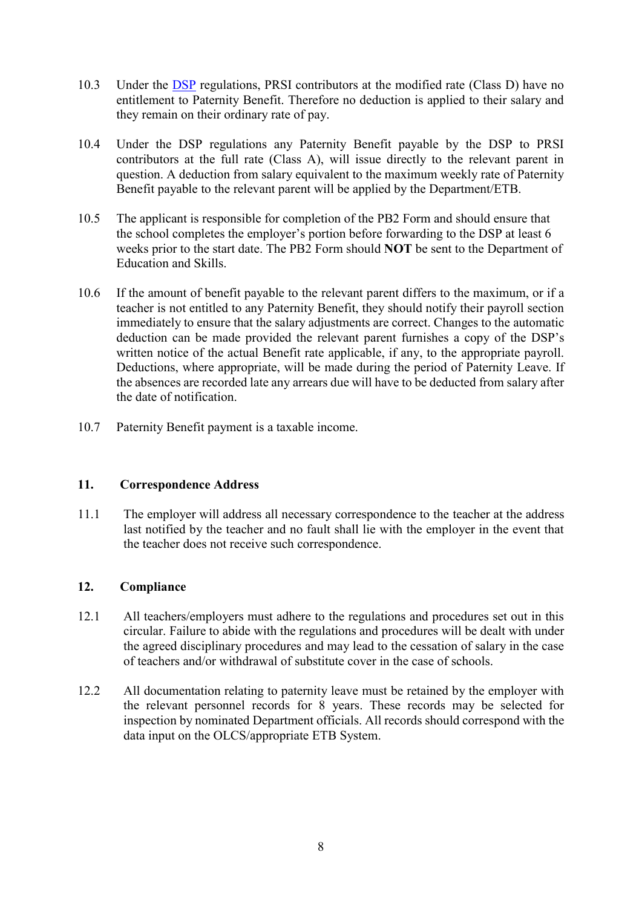- 10.3 Under the [DSP](http://www.welfare.ie/en/Pages/Paternity-Benefit.aspx#where) regulations, PRSI contributors at the modified rate (Class D) have no entitlement to Paternity Benefit. Therefore no deduction is applied to their salary and they remain on their ordinary rate of pay.
- 10.4 Under the DSP regulations any Paternity Benefit payable by the DSP to PRSI contributors at the full rate (Class A), will issue directly to the relevant parent in question. A deduction from salary equivalent to the maximum weekly rate of Paternity Benefit payable to the relevant parent will be applied by the Department/ETB.
- 10.5 The applicant is responsible for completion of the PB2 Form and should ensure that the school completes the employer's portion before forwarding to the DSP at least 6 weeks prior to the start date. The PB2 Form should **NOT** be sent to the Department of Education and Skills.
- 10.6 If the amount of benefit payable to the relevant parent differs to the maximum, or if a teacher is not entitled to any Paternity Benefit, they should notify their payroll section immediately to ensure that the salary adjustments are correct. Changes to the automatic deduction can be made provided the relevant parent furnishes a copy of the DSP's written notice of the actual Benefit rate applicable, if any, to the appropriate payroll. Deductions, where appropriate, will be made during the period of Paternity Leave. If the absences are recorded late any arrears due will have to be deducted from salary after the date of notification.
- 10.7 Paternity Benefit payment is a taxable income.

# <span id="page-7-0"></span>**11. Correspondence Address**

11.1 The employer will address all necessary correspondence to the teacher at the address last notified by the teacher and no fault shall lie with the employer in the event that the teacher does not receive such correspondence.

# <span id="page-7-1"></span>**12. Compliance**

- 12.1 All teachers/employers must adhere to the regulations and procedures set out in this circular. Failure to abide with the regulations and procedures will be dealt with under the agreed disciplinary procedures and may lead to the cessation of salary in the case of teachers and/or withdrawal of substitute cover in the case of schools.
- 12.2 All documentation relating to paternity leave must be retained by the employer with the relevant personnel records for 8 years. These records may be selected for inspection by nominated Department officials. All records should correspond with the data input on the OLCS/appropriate ETB System.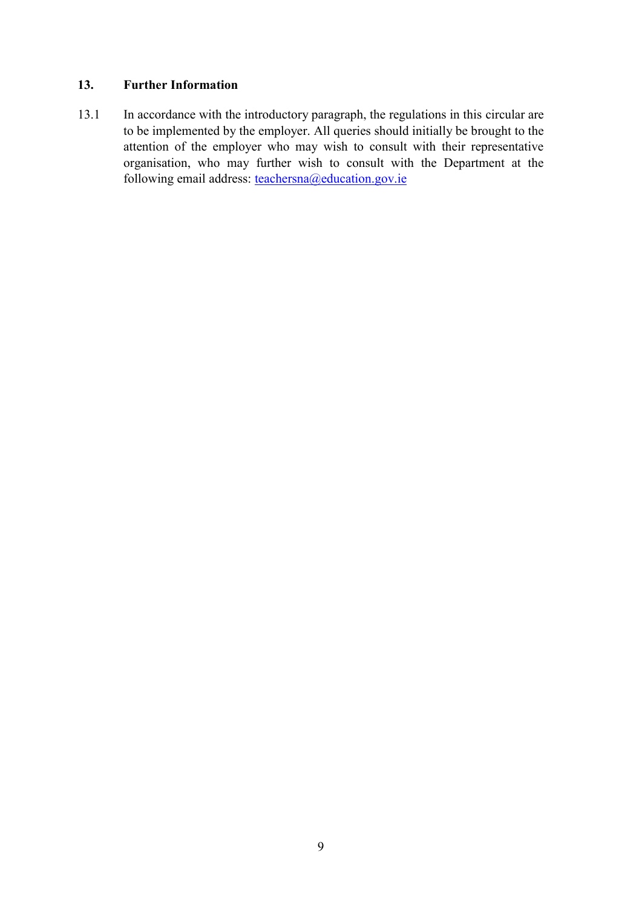### <span id="page-8-0"></span>**13. Further Information**

13.1 In accordance with the introductory paragraph, the regulations in this circular are to be implemented by the employer. All queries should initially be brought to the attention of the employer who may wish to consult with their representative organisation, who may further wish to consult with the Department at the following email address: <u>teachersna@education.gov.ie</u>